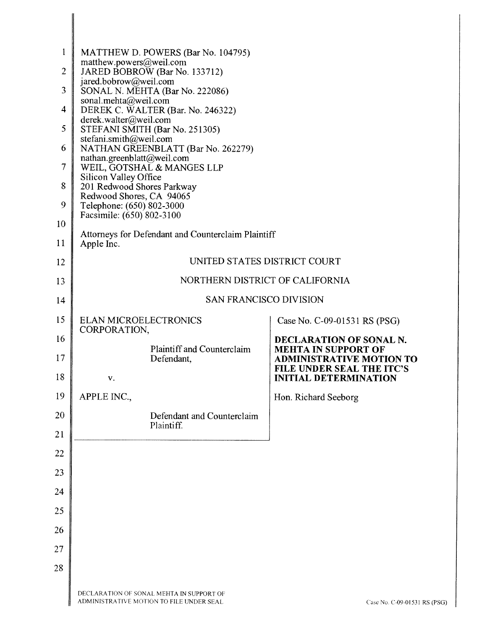| $\mathbf{1}$   | MATTHEW D. POWERS (Bar No. 104795)                                                                                                             |                                                               |  |
|----------------|------------------------------------------------------------------------------------------------------------------------------------------------|---------------------------------------------------------------|--|
| $\overline{2}$ | matthew.powers@weil.com<br>JARED BOBROW (Bar No. 133712)                                                                                       |                                                               |  |
| 3              | jared.bobrow@weil.com<br>SONAL N. MEHTA (Bar No. 222086)<br>sonal.mehta@weil.com<br>DEREK C. WALTER (Bar. No. 246322)<br>derek.walter@weil.com |                                                               |  |
| 4              |                                                                                                                                                |                                                               |  |
| 5              |                                                                                                                                                |                                                               |  |
|                | STEFANI SMITH (Bar No. 251305)<br>stefani.smith@weil.com                                                                                       |                                                               |  |
| 6              | NATHAN GREENBLATT (Bar No. 262279)<br>nathan.greenblatt@weil.com                                                                               |                                                               |  |
| 7              | WEIL, GOTSHAL & MANGES LLP<br>Silicon Valley Office                                                                                            |                                                               |  |
| 8              | 201 Redwood Shores Parkway<br>Redwood Shores, CA 94065                                                                                         |                                                               |  |
| 9              | Telephone: (650) 802-3000<br>Facsimile: (650) 802-3100                                                                                         |                                                               |  |
| 10             | Attorneys for Defendant and Counterclaim Plaintiff                                                                                             |                                                               |  |
| 11             | Apple Inc.                                                                                                                                     |                                                               |  |
| 12             | UNITED STATES DISTRICT COURT                                                                                                                   |                                                               |  |
| 13             | NORTHERN DISTRICT OF CALIFORNIA                                                                                                                |                                                               |  |
| 14             | <b>SAN FRANCISCO DIVISION</b>                                                                                                                  |                                                               |  |
| 15             | ELAN MICROELECTRONICS                                                                                                                          | Case No. C-09-01531 RS (PSG)                                  |  |
| 16             | CORPORATION,                                                                                                                                   | DECLARATION OF SONAL N.                                       |  |
| 17             | Plaintiff and Counterclaim<br>Defendant,                                                                                                       | <b>MEHTA IN SUPPORT OF</b><br><b>ADMINISTRATIVE MOTION TO</b> |  |
| 18             | V.                                                                                                                                             | FILE UNDER SEAL THE ITC'S<br><b>INITIAL DETERMINATION</b>     |  |
| 19             | APPLE INC.,                                                                                                                                    | Hon. Richard Seeborg                                          |  |
| 20             | Defendant and Counterclaim                                                                                                                     |                                                               |  |
| 21             | Plaintiff.                                                                                                                                     |                                                               |  |
| 22             |                                                                                                                                                |                                                               |  |
| 23             |                                                                                                                                                |                                                               |  |
| 24             |                                                                                                                                                |                                                               |  |
|                |                                                                                                                                                |                                                               |  |
| 25             |                                                                                                                                                |                                                               |  |
| 26             |                                                                                                                                                |                                                               |  |
| 27             |                                                                                                                                                |                                                               |  |
| 28             |                                                                                                                                                |                                                               |  |
|                | DECLARATION OF SONAL MEHTA IN SUPPORT OF<br>ADMINISTRATIVE MOTION TO FILE UNDER SEAL                                                           | Case No. C-09-01531 RS                                        |  |